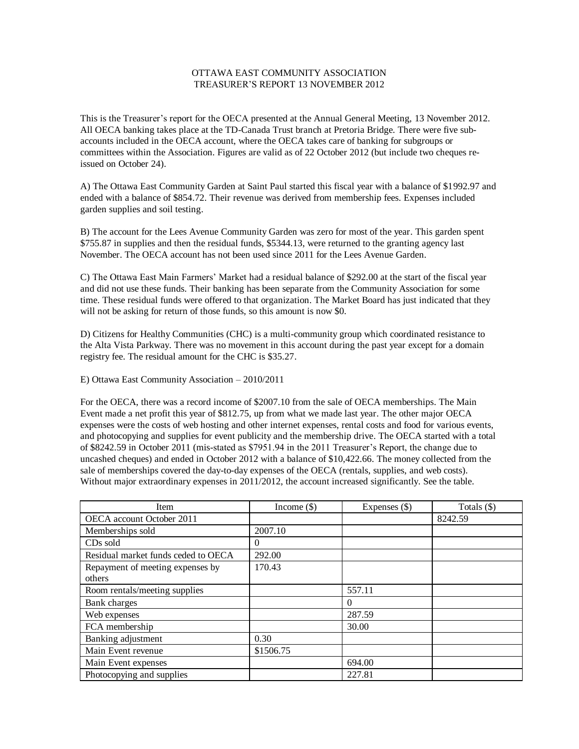## OTTAWA EAST COMMUNITY ASSOCIATION TREASURER'S REPORT 13 NOVEMBER 2012

This is the Treasurer's report for the OECA presented at the Annual General Meeting, 13 November 2012. All OECA banking takes place at the TD-Canada Trust branch at Pretoria Bridge. There were five subaccounts included in the OECA account, where the OECA takes care of banking for subgroups or committees within the Association. Figures are valid as of 22 October 2012 (but include two cheques reissued on October 24).

A) The Ottawa East Community Garden at Saint Paul started this fiscal year with a balance of \$1992.97 and ended with a balance of \$854.72. Their revenue was derived from membership fees. Expenses included garden supplies and soil testing.

B) The account for the Lees Avenue Community Garden was zero for most of the year. This garden spent \$755.87 in supplies and then the residual funds, \$5344.13, were returned to the granting agency last November. The OECA account has not been used since 2011 for the Lees Avenue Garden.

C) The Ottawa East Main Farmers' Market had a residual balance of \$292.00 at the start of the fiscal year and did not use these funds. Their banking has been separate from the Community Association for some time. These residual funds were offered to that organization. The Market Board has just indicated that they will not be asking for return of those funds, so this amount is now \$0.

D) Citizens for Healthy Communities (CHC) is a multi-community group which coordinated resistance to the Alta Vista Parkway. There was no movement in this account during the past year except for a domain registry fee. The residual amount for the CHC is \$35.27.

E) Ottawa East Community Association – 2010/2011

For the OECA, there was a record income of \$2007.10 from the sale of OECA memberships. The Main Event made a net profit this year of \$812.75, up from what we made last year. The other major OECA expenses were the costs of web hosting and other internet expenses, rental costs and food for various events, and photocopying and supplies for event publicity and the membership drive. The OECA started with a total of \$8242.59 in October 2011 (mis-stated as \$7951.94 in the 2011 Treasurer's Report, the change due to uncashed cheques) and ended in October 2012 with a balance of \$10,422.66. The money collected from the sale of memberships covered the day-to-day expenses of the OECA (rentals, supplies, and web costs). Without major extraordinary expenses in 2011/2012, the account increased significantly. See the table.

| Item                                | Income $(\$)$ | Expenses (\$) | Totals $(\$)$ |
|-------------------------------------|---------------|---------------|---------------|
| OECA account October 2011           |               |               | 8242.59       |
| Memberships sold                    | 2007.10       |               |               |
| CD <sub>s</sub> sold                | 0             |               |               |
| Residual market funds ceded to OECA | 292.00        |               |               |
| Repayment of meeting expenses by    | 170.43        |               |               |
| others                              |               |               |               |
| Room rentals/meeting supplies       |               | 557.11        |               |
| Bank charges                        |               | $\Omega$      |               |
| Web expenses                        |               | 287.59        |               |
| FCA membership                      |               | 30.00         |               |
| Banking adjustment                  | 0.30          |               |               |
| Main Event revenue                  | \$1506.75     |               |               |
| Main Event expenses                 |               | 694.00        |               |
| Photocopying and supplies           |               | 227.81        |               |